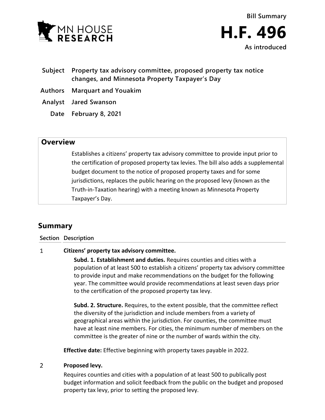

- **Subject Property tax advisory committee, proposed property tax notice changes, and Minnesota Property Taxpayer's Day**
- **Authors Marquart and Youakim**
- **Analyst Jared Swanson**
	- **Date February 8, 2021**

## **Overview**

Establishes a citizens' property tax advisory committee to provide input prior to the certification of proposed property tax levies. The bill also adds a supplemental budget document to the notice of proposed property taxes and for some jurisdictions, replaces the public hearing on the proposed levy (known as the Truth-in-Taxation hearing) with a meeting known as Minnesota Property Taxpayer's Day.

# **Summary**

**Section Description**

### $\mathbf{1}$ **Citizens' property tax advisory committee.**

**Subd. 1. Establishment and duties.** Requires counties and cities with a population of at least 500 to establish a citizens' property tax advisory committee to provide input and make recommendations on the budget for the following year. The committee would provide recommendations at least seven days prior to the certification of the proposed property tax levy.

**Subd. 2. Structure.** Requires, to the extent possible, that the committee reflect the diversity of the jurisdiction and include members from a variety of geographical areas within the jurisdiction. For counties, the committee must have at least nine members. For cities, the minimum number of members on the committee is the greater of nine or the number of wards within the city.

**Effective date:** Effective beginning with property taxes payable in 2022.

### $\overline{2}$ **Proposed levy.**

Requires counties and cities with a population of at least 500 to publically post budget information and solicit feedback from the public on the budget and proposed property tax levy, prior to setting the proposed levy.